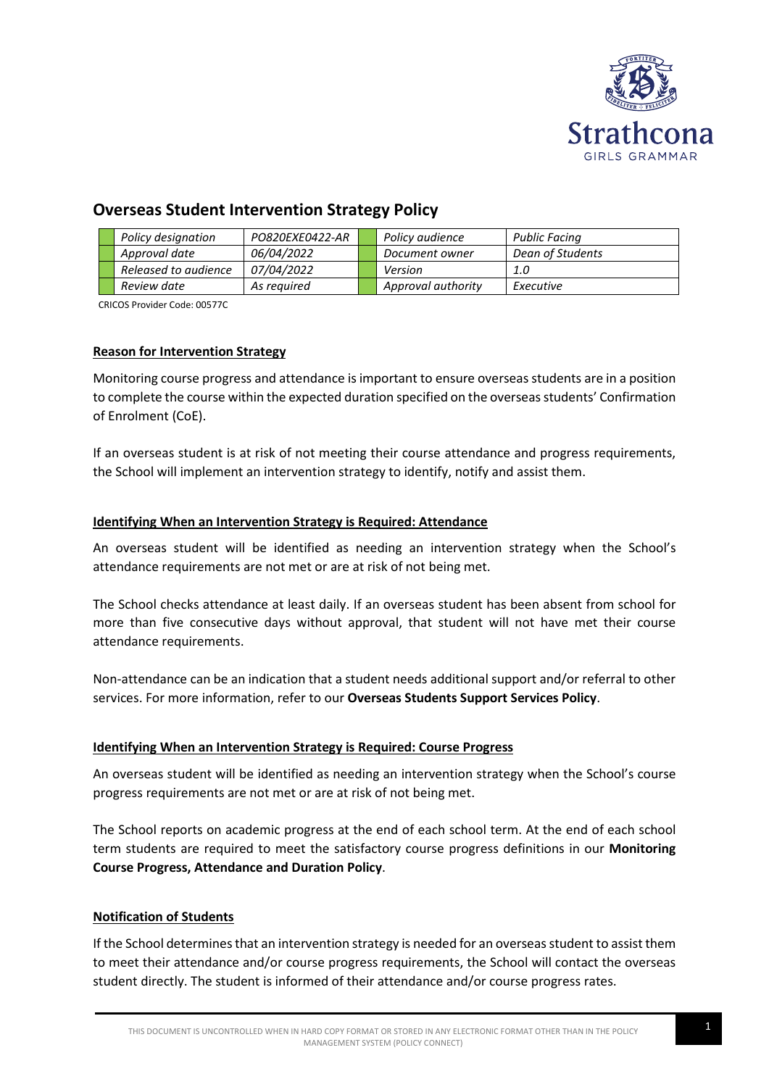

# **Overseas Student Intervention Strategy Policy**

|  | Policy designation   | PO820EXE0422-AR   | Policy audience    | Public Facing    |
|--|----------------------|-------------------|--------------------|------------------|
|  | Approval date        | 06/04/2022        | Document owner     | Dean of Students |
|  | Released to audience | <i>07/04/2022</i> | Version            | 1.0              |
|  | Review date          | As reauired       | Approval authority | Executive        |

CRICOS Provider Code: 00577C

## **Reason for Intervention Strategy**

Monitoring course progress and attendance is important to ensure overseas students are in a position to complete the course within the expected duration specified on the overseas students' Confirmation of Enrolment (CoE).

If an overseas student is at risk of not meeting their course attendance and progress requirements, the School will implement an intervention strategy to identify, notify and assist them.

### **Identifying When an Intervention Strategy is Required: Attendance**

An overseas student will be identified as needing an intervention strategy when the School's attendance requirements are not met or are at risk of not being met.

The School checks attendance at least daily. If an overseas student has been absent from school for more than five consecutive days without approval, that student will not have met their course attendance requirements.

Non-attendance can be an indication that a student needs additional support and/or referral to other services. For more information, refer to our **Overseas Students Support Services Policy**.

### **Identifying When an Intervention Strategy is Required: Course Progress**

An overseas student will be identified as needing an intervention strategy when the School's course progress requirements are not met or are at risk of not being met.

The School reports on academic progress at the end of each school term. At the end of each school term students are required to meet the satisfactory course progress definitions in our **Monitoring Course Progress, Attendance and Duration Policy**.

### **Notification of Students**

If the School determines that an intervention strategy is needed for an overseas student to assist them to meet their attendance and/or course progress requirements, the School will contact the overseas student directly. The student is informed of their attendance and/or course progress rates.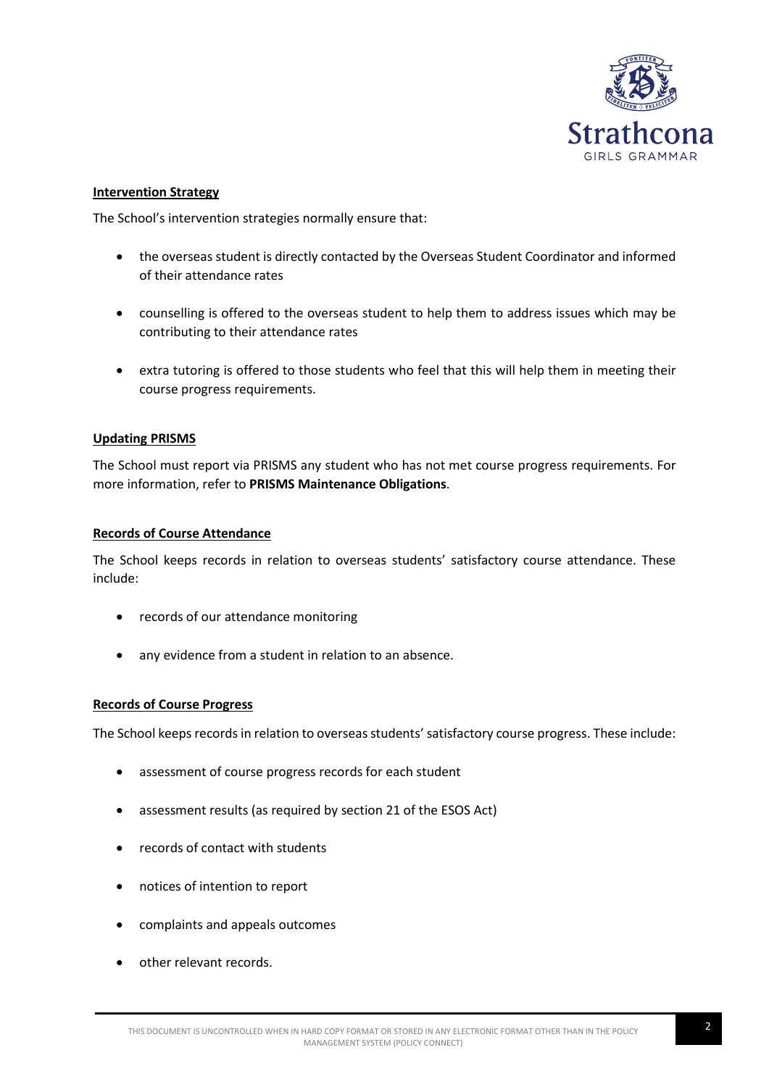

#### **Intervention Strategy**

The School's intervention strategies normally ensure that:

- the overseas student is directly contacted by the Overseas Student Coordinator and informed of their attendance rates
- counselling is offered to the overseas student to help them to address issues which may be contributing to their attendance rates
- extra tutoring is offered to those students who feel that this will help them in meeting their course progress requirements.

### **Updating PRISMS**

The School must report via PRISMS any student who has not met course progress requirements. For more information, refer to **PRISMS Maintenance Obligations**.

#### **Records of Course Attendance**

The School keeps records in relation to overseas students' satisfactory course attendance. These include:

- records of our attendance monitoring
- any evidence from a student in relation to an absence.

#### **Records of Course Progress**

The School keeps records in relation to overseas students' satisfactory course progress. These include:

- assessment of course progress records for each student
- assessment results (as required by section 21 of the ESOS Act)
- records of contact with students
- notices of intention to report
- complaints and appeals outcomes
- other relevant records.